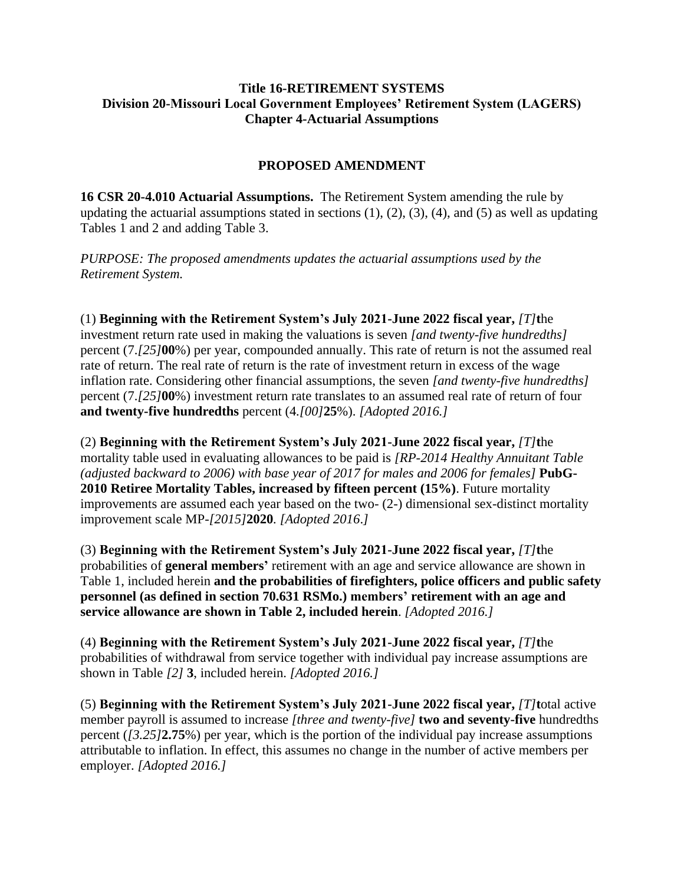#### **Title 16-RETIREMENT SYSTEMS Division 20-Missouri Local Government Employees' Retirement System (LAGERS) Chapter 4-Actuarial Assumptions**

# **PROPOSED AMENDMENT**

**16 CSR 20-4.010 Actuarial Assumptions.** The Retirement System amending the rule by updating the actuarial assumptions stated in sections  $(1)$ ,  $(2)$ ,  $(3)$ ,  $(4)$ , and  $(5)$  as well as updating Tables 1 and 2 and adding Table 3.

*PURPOSE: The proposed amendments updates the actuarial assumptions used by the Retirement System.* 

(1) **Beginning with the Retirement System's July 2021-June 2022 fiscal year,** *[T]***t**he investment return rate used in making the valuations is seven *[and twenty-five hundredths]* percent (7.*[25]***00**%) per year, compounded annually. This rate of return is not the assumed real rate of return. The real rate of return is the rate of investment return in excess of the wage inflation rate. Considering other financial assumptions, the seven *[and twenty-five hundredths]* percent (7.*[25]***00**%) investment return rate translates to an assumed real rate of return of four **and twenty-five hundredths** percent (4*.[00]***25**%). *[Adopted 2016.]*

(2) **Beginning with the Retirement System's July 2021-June 2022 fiscal year,** *[T]***t**he mortality table used in evaluating allowances to be paid is *[RP-2014 Healthy Annuitant Table (adjusted backward to 2006) with base year of 2017 for males and 2006 for females]* **PubG-2010 Retiree Mortality Tables, increased by fifteen percent (15%)**. Future mortality improvements are assumed each year based on the two- (2-) dimensional sex-distinct mortality improvement scale MP-*[2015]***2020***. [Adopted 2016*.*]*

(3) **Beginning with the Retirement System's July 2021-June 2022 fiscal year,** *[T]***t**he probabilities of **general members'** retirement with an age and service allowance are shown in Table 1, included herein **and the probabilities of firefighters, police officers and public safety personnel (as defined in section 70.631 RSMo.) members' retirement with an age and service allowance are shown in Table 2, included herein**. *[Adopted 2016.]*

(4) **Beginning with the Retirement System's July 2021-June 2022 fiscal year,** *[T]***t**he probabilities of withdrawal from service together with individual pay increase assumptions are shown in Table *[2]* **3**, included herein. *[Adopted 2016.]*

(5) **Beginning with the Retirement System's July 2021-June 2022 fiscal year,** *[T]***t**otal active member payroll is assumed to increase *[three and twenty-five]* **two and seventy-five** hundredths percent (*[3.25]***2.75**%) per year, which is the portion of the individual pay increase assumptions attributable to inflation. In effect, this assumes no change in the number of active members per employer. *[Adopted 2016.]*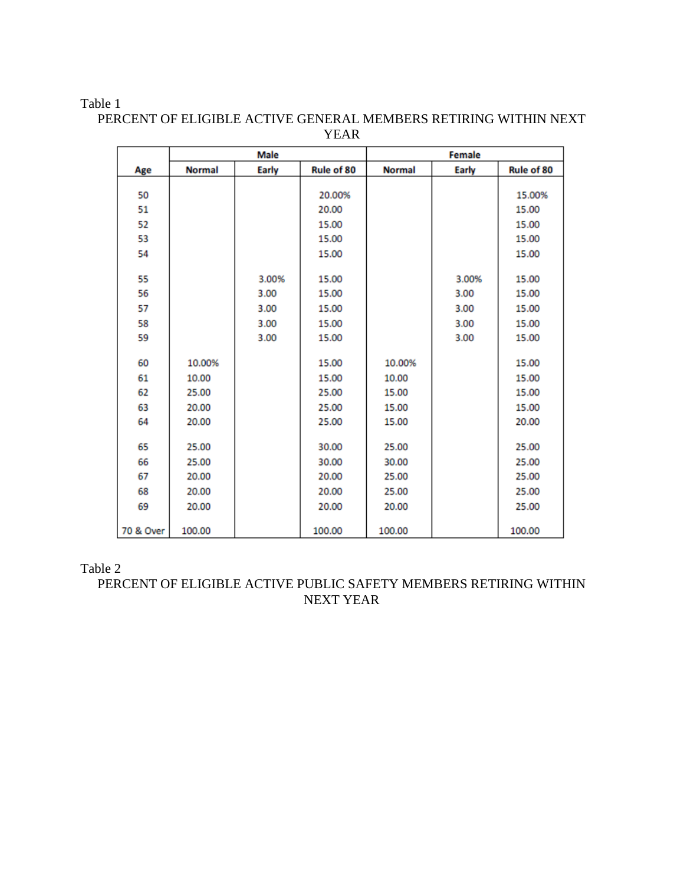#### Table 1

|           |               | <b>Male</b>  | <b>Female</b> |               |               |            |  |
|-----------|---------------|--------------|---------------|---------------|---------------|------------|--|
| Age       | <b>Normal</b> | <b>Early</b> | Rule of 80    | <b>Normal</b> | <b>Early</b>  | Rule of 80 |  |
| 50        |               |              | 20.00%        |               |               | 15.00%     |  |
| 51        |               |              | 20.00         |               |               | 15.00      |  |
| 52        |               |              | 15.00         |               |               | 15.00      |  |
| 53        |               |              | 15.00         |               |               | 15.00      |  |
| 54        |               |              | 15.00         |               |               | 15.00      |  |
| 55        |               | 3.00%        | 15.00         |               | 3.00%         | 15.00      |  |
| 56        |               | 3.00         | 15.00         |               | 3.00          | 15.00      |  |
| 57        |               | 3.00         | 15.00         |               | 3.00<br>15.00 |            |  |
| 58        |               | 3.00         | 15.00         |               | 3.00          | 15.00      |  |
| 59        |               | 3.00         | 15.00         |               | 3.00          | 15.00      |  |
| 60        | 10.00%        |              | 15.00         | 10.00%        |               | 15.00      |  |
| 61        | 10.00         |              | 15.00         | 10.00         |               | 15.00      |  |
| 62        | 25.00         |              | 25.00         | 15.00         |               | 15.00      |  |
| 63        | 20.00         |              | 25.00         | 15.00         |               | 15.00      |  |
| 64        | 20.00         |              | 25.00         | 15.00         |               | 20.00      |  |
| 65        | 25.00         |              | 30.00         | 25.00         |               | 25.00      |  |
| 66        | 25.00         |              | 30.00         | 30.00         |               | 25.00      |  |
| 67        | 20.00         |              | 20.00         | 25.00         |               | 25.00      |  |
| 68        | 20.00         |              | 20.00         | 25.00         |               | 25.00      |  |
| 69        | 20.00         |              | 20.00         | 20.00         |               | 25.00      |  |
| 70 & Over | 100.00        |              | 100.00        | 100.00        |               | 100.00     |  |

PERCENT OF ELIGIBLE ACTIVE GENERAL MEMBERS RETIRING WITHIN NEXT YEAR

### Table 2

PERCENT OF ELIGIBLE ACTIVE PUBLIC SAFETY MEMBERS RETIRING WITHIN NEXT YEAR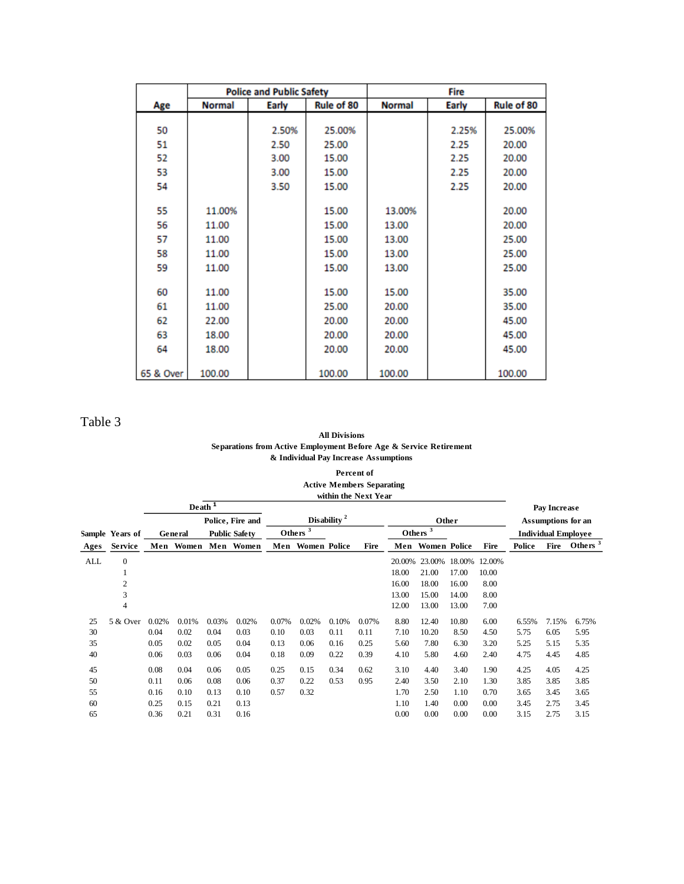|           |               | <b>Police and Public Safety</b> |            | <b>Fire</b>   |              |            |  |  |
|-----------|---------------|---------------------------------|------------|---------------|--------------|------------|--|--|
| Age       | <b>Normal</b> | Early                           | Rule of 80 | <b>Normal</b> | <b>Early</b> | Rule of 80 |  |  |
|           |               |                                 |            |               |              |            |  |  |
| 50        |               | 2.50%                           | 25.00%     |               | 2.25%        | 25.00%     |  |  |
| 51        |               | 2.50                            | 25.00      |               | 2.25         | 20.00      |  |  |
| 52        |               | 3.00                            | 15.00      |               | 2.25         | 20.00      |  |  |
| 53        |               | 3.00                            | 15.00      |               | 2.25         | 20.00      |  |  |
| 54        |               | 3.50                            | 15.00      |               | 2.25         | 20.00      |  |  |
|           |               |                                 |            |               |              |            |  |  |
| 55        | 11.00%        |                                 | 15.00      | 13.00%        |              | 20.00      |  |  |
| 56        | 11.00         |                                 | 15.00      | 13.00         |              | 20.00      |  |  |
| 57        | 11.00         |                                 | 15.00      | 13.00         |              | 25.00      |  |  |
| 58        | 11.00         |                                 | 15.00      | 13.00         |              | 25.00      |  |  |
| 59        | 11.00         |                                 | 15.00      | 13.00         |              | 25.00      |  |  |
|           |               |                                 |            |               |              |            |  |  |
| 60        | 11.00         |                                 | 15.00      | 15.00         |              | 35.00      |  |  |
| 61        | 11.00         |                                 | 25.00      | 20.00         |              | 35.00      |  |  |
| 62        | 22.00         |                                 | 20.00      | 20.00         |              | 45.00      |  |  |
| 63        | 18.00         |                                 | 20.00      | 20.00         |              | 45.00      |  |  |
| 64        | 18.00         |                                 | 20.00      | 20.00         |              | 45.00      |  |  |
|           |               |                                 |            |               |              |            |  |  |
| 65 & Over | 100.00        |                                 | 100.00     | 100.00        |              | 100.00     |  |  |

Table 3

#### **All Divisions Separations from Active Employment Before Age & Service Retirement & Individual Pay Increase Assumptions**

**Percent of Active Members Separating within the Next Year**

|                  |                 |                         | Death <sup>1</sup>              |       |                     |       |                  |                    |            |        |                     |        |                            |        | Pay Increase |                     |
|------------------|-----------------|-------------------------|---------------------------------|-------|---------------------|-------|------------------|--------------------|------------|--------|---------------------|--------|----------------------------|--------|--------------|---------------------|
| Police, Fire and |                 | Disability <sup>2</sup> |                                 |       | Other               |       |                  | Assumptions for an |            |        |                     |        |                            |        |              |                     |
|                  | Sample Years of |                         | <b>Public Safety</b><br>General |       | Others              |       |                  |                    | Others $3$ |        |                     |        | <b>Individual Employee</b> |        |              |                     |
| Ages             | <b>Service</b>  |                         |                                 |       | Men Women Men Women |       | Men Women Police |                    | Fire       | Men    | <b>Women Police</b> |        | Fire                       | Police | Fire         | Others <sup>3</sup> |
| ALL              | $\overline{0}$  |                         |                                 |       |                     |       |                  |                    |            | 20.00% | 23.00%              | 18.00% | 12.00%                     |        |              |                     |
|                  | 1               |                         |                                 |       |                     |       |                  |                    |            | 18.00  | 21.00               | 17.00  | 10.00                      |        |              |                     |
|                  | $\overline{2}$  |                         |                                 |       |                     |       |                  |                    |            | 16.00  | 18.00               | 16.00  | 8.00                       |        |              |                     |
|                  | 3               |                         |                                 |       |                     |       |                  |                    |            | 13.00  | 15.00               | 14.00  | 8.00                       |        |              |                     |
|                  | $\overline{4}$  |                         |                                 |       |                     |       |                  |                    |            | 12.00  | 13.00               | 13.00  | 7.00                       |        |              |                     |
| 25               | 5 & Over        | 0.02%                   | 0.01%                           | 0.03% | 0.02%               | 0.07% | 0.02%            | 0.10%              | 0.07%      | 8.80   | 12.40               | 10.80  | 6.00                       | 6.55%  | 7.15%        | 6.75%               |
| 30               |                 | 0.04                    | 0.02                            | 0.04  | 0.03                | 0.10  | 0.03             | 0.11               | 0.11       | 7.10   | 10.20               | 8.50   | 4.50                       | 5.75   | 6.05         | 5.95                |
| 35               |                 | 0.05                    | 0.02                            | 0.05  | 0.04                | 0.13  | 0.06             | 0.16               | 0.25       | 5.60   | 7.80                | 6.30   | 3.20                       | 5.25   | 5.15         | 5.35                |
| 40               |                 | 0.06                    | 0.03                            | 0.06  | 0.04                | 0.18  | 0.09             | 0.22               | 0.39       | 4.10   | 5.80                | 4.60   | 2.40                       | 4.75   | 4.45         | 4.85                |
| 45               |                 | 0.08                    | 0.04                            | 0.06  | 0.05                | 0.25  | 0.15             | 0.34               | 0.62       | 3.10   | 4.40                | 3.40   | 1.90                       | 4.25   | 4.05         | 4.25                |
| 50               |                 | 0.11                    | 0.06                            | 0.08  | 0.06                | 0.37  | 0.22             | 0.53               | 0.95       | 2.40   | 3.50                | 2.10   | 1.30                       | 3.85   | 3.85         | 3.85                |
| 55               |                 | 0.16                    | 0.10                            | 0.13  | 0.10                | 0.57  | 0.32             |                    |            | 1.70   | 2.50                | 1.10   | 0.70                       | 3.65   | 3.45         | 3.65                |
| 60               |                 | 0.25                    | 0.15                            | 0.21  | 0.13                |       |                  |                    |            | 1.10   | 1.40                | 0.00   | 0.00                       | 3.45   | 2.75         | 3.45                |
| 65               |                 | 0.36                    | 0.21                            | 0.31  | 0.16                |       |                  |                    |            | 0.00   | 0.00                | 0.00   | 0.00                       | 3.15   | 2.75         | 3.15                |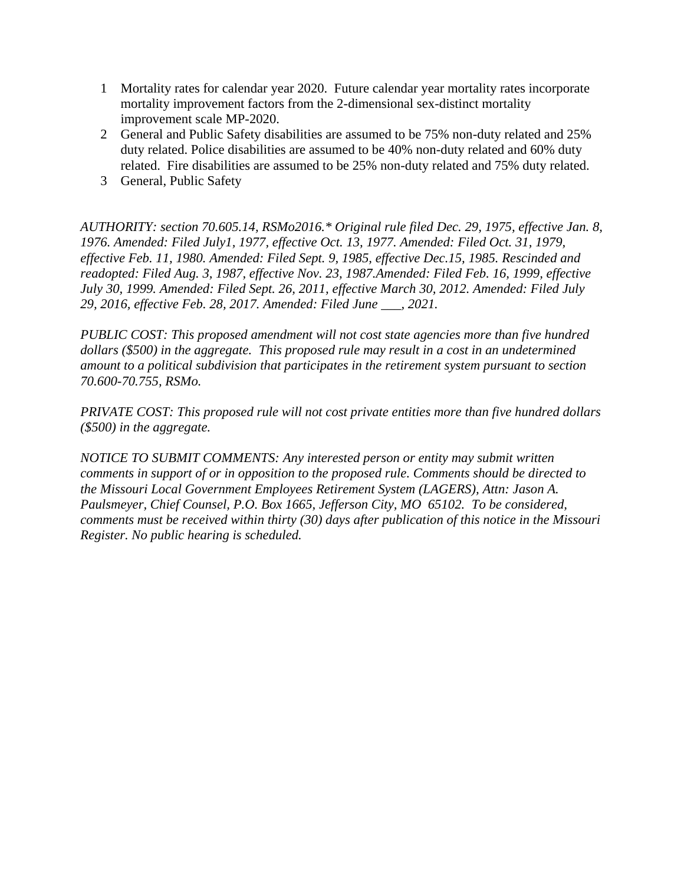- 1 Mortality rates for calendar year 2020. Future calendar year mortality rates incorporate mortality improvement factors from the 2-dimensional sex-distinct mortality improvement scale MP-2020.
- 2 General and Public Safety disabilities are assumed to be 75% non-duty related and 25% duty related. Police disabilities are assumed to be 40% non-duty related and 60% duty related. Fire disabilities are assumed to be 25% non-duty related and 75% duty related.
- 3 General, Public Safety

*AUTHORITY: section 70.605.14, RSMo2016.\* Original rule filed Dec. 29, 1975, effective Jan. 8, 1976. Amended: Filed July1, 1977, effective Oct. 13, 1977. Amended: Filed Oct. 31, 1979, effective Feb. 11, 1980. Amended: Filed Sept. 9, 1985, effective Dec.15, 1985. Rescinded and readopted: Filed Aug. 3, 1987, effective Nov. 23, 1987.Amended: Filed Feb. 16, 1999, effective July 30, 1999. Amended: Filed Sept. 26, 2011, effective March 30, 2012. Amended: Filed July 29, 2016, effective Feb. 28, 2017. Amended: Filed June \_\_\_, 2021.*

*PUBLIC COST: This proposed amendment will not cost state agencies more than five hundred dollars (\$500) in the aggregate. This proposed rule may result in a cost in an undetermined amount to a political subdivision that participates in the retirement system pursuant to section 70.600-70.755, RSMo.*

*PRIVATE COST: This proposed rule will not cost private entities more than five hundred dollars (\$500) in the aggregate.*

*NOTICE TO SUBMIT COMMENTS: Any interested person or entity may submit written comments in support of or in opposition to the proposed rule. Comments should be directed to the Missouri Local Government Employees Retirement System (LAGERS), Attn: Jason A. Paulsmeyer, Chief Counsel, P.O. Box 1665, Jefferson City, MO 65102. To be considered, comments must be received within thirty (30) days after publication of this notice in the Missouri Register. No public hearing is scheduled.*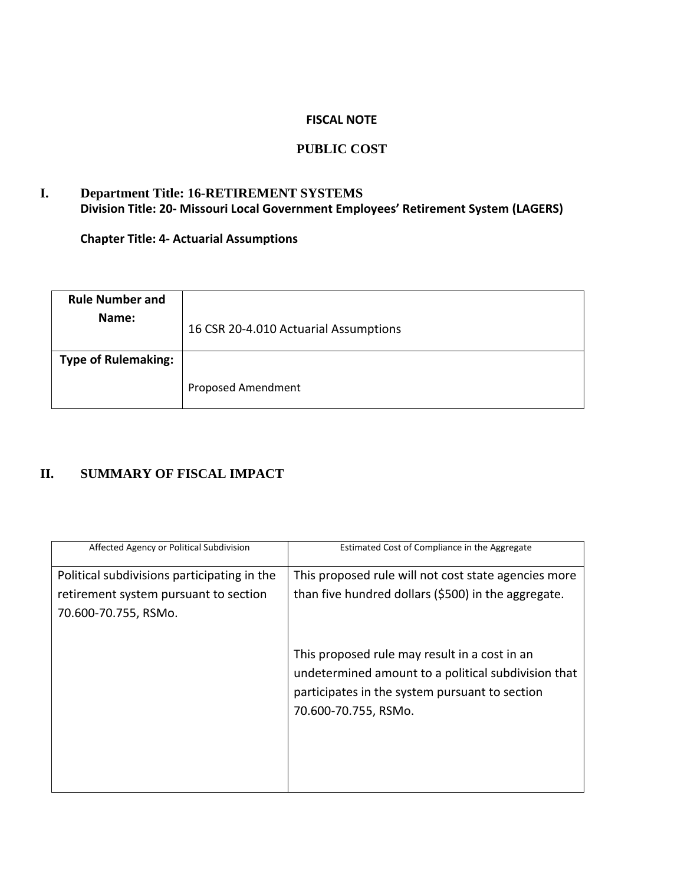#### **FISCAL NOTE**

# **PUBLIC COST**

# **I. Department Title: 16-RETIREMENT SYSTEMS Division Title: 20- Missouri Local Government Employees' Retirement System (LAGERS)**

**Chapter Title: 4- Actuarial Assumptions**

| <b>Rule Number and</b><br>Name: | 16 CSR 20-4.010 Actuarial Assumptions |
|---------------------------------|---------------------------------------|
| <b>Type of Rulemaking:</b>      | Proposed Amendment                    |

# **II. SUMMARY OF FISCAL IMPACT**

| Affected Agency or Political Subdivision    | Estimated Cost of Compliance in the Aggregate                                                                                                                                  |
|---------------------------------------------|--------------------------------------------------------------------------------------------------------------------------------------------------------------------------------|
| Political subdivisions participating in the | This proposed rule will not cost state agencies more                                                                                                                           |
| retirement system pursuant to section       | than five hundred dollars (\$500) in the aggregate.                                                                                                                            |
| 70.600-70.755, RSMo.                        |                                                                                                                                                                                |
|                                             | This proposed rule may result in a cost in an<br>undetermined amount to a political subdivision that<br>participates in the system pursuant to section<br>70.600-70.755, RSMo. |